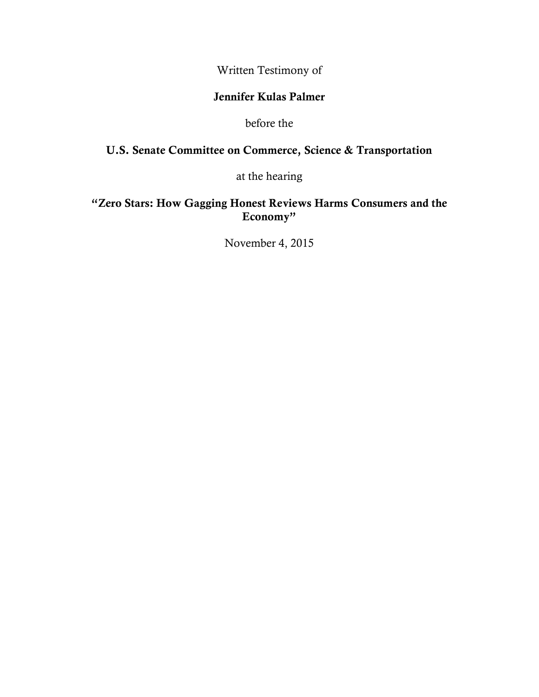Written Testimony of

## **Jennifer Kulas Palmer**

before the

## **U.S. Senate Committee on Commerce, Science & Transportation**

at the hearing

## **"Zero Stars: How Gagging Honest Reviews Harms Consumers and the Economy"**

November 4, 2015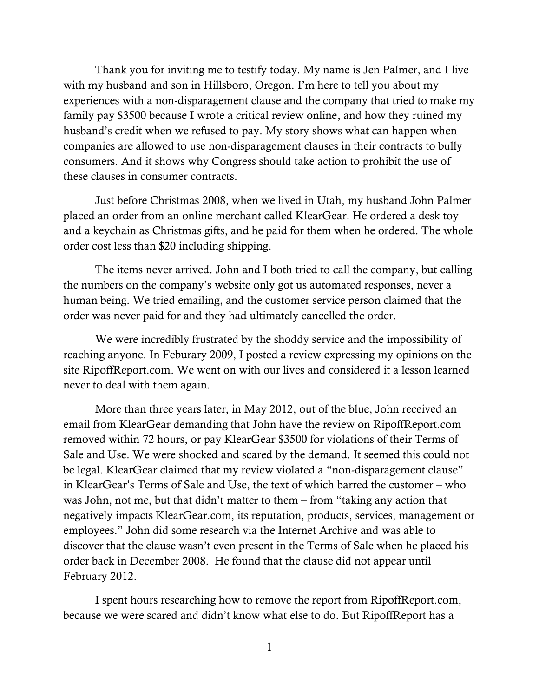Thank you for inviting me to testify today. My name is Jen Palmer, and I live with my husband and son in Hillsboro, Oregon. I'm here to tell you about my experiences with a non-disparagement clause and the company that tried to make my family pay \$3500 because I wrote a critical review online, and how they ruined my husband's credit when we refused to pay. My story shows what can happen when companies are allowed to use non-disparagement clauses in their contracts to bully consumers. And it shows why Congress should take action to prohibit the use of these clauses in consumer contracts.

Just before Christmas 2008, when we lived in Utah, my husband John Palmer placed an order from an online merchant called KlearGear. He ordered a desk toy and a keychain as Christmas gifts, and he paid for them when he ordered. The whole order cost less than \$20 including shipping.

The items never arrived. John and I both tried to call the company, but calling the numbers on the company's website only got us automated responses, never a human being. We tried emailing, and the customer service person claimed that the order was never paid for and they had ultimately cancelled the order.

We were incredibly frustrated by the shoddy service and the impossibility of reaching anyone. In Feburary 2009, I posted a review expressing my opinions on the site RipoffReport.com. We went on with our lives and considered it a lesson learned never to deal with them again.

More than three years later, in May 2012, out of the blue, John received an email from KlearGear demanding that John have the review on RipoffReport.com removed within 72 hours, or pay KlearGear \$3500 for violations of their Terms of Sale and Use. We were shocked and scared by the demand. It seemed this could not be legal. KlearGear claimed that my review violated a "non-disparagement clause" in KlearGear's Terms of Sale and Use, the text of which barred the customer – who was John, not me, but that didn't matter to them – from "taking any action that negatively impacts KlearGear.com, its reputation, products, services, management or employees." John did some research via the Internet Archive and was able to discover that the clause wasn't even present in the Terms of Sale when he placed his order back in December 2008. He found that the clause did not appear until February 2012.

I spent hours researching how to remove the report from RipoffReport.com, because we were scared and didn't know what else to do. But RipoffReport has a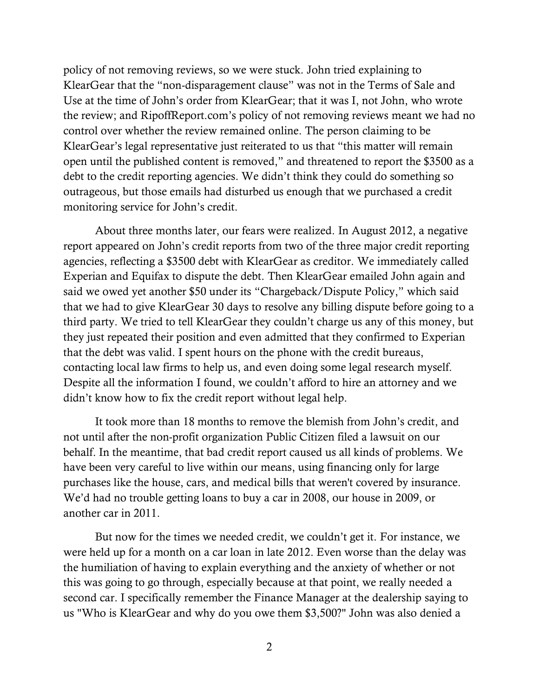policy of not removing reviews, so we were stuck. John tried explaining to KlearGear that the "non-disparagement clause" was not in the Terms of Sale and Use at the time of John's order from KlearGear; that it was I, not John, who wrote the review; and RipoffReport.com's policy of not removing reviews meant we had no control over whether the review remained online. The person claiming to be KlearGear's legal representative just reiterated to us that "this matter will remain open until the published content is removed," and threatened to report the \$3500 as a debt to the credit reporting agencies. We didn't think they could do something so outrageous, but those emails had disturbed us enough that we purchased a credit monitoring service for John's credit.

About three months later, our fears were realized. In August 2012, a negative report appeared on John's credit reports from two of the three major credit reporting agencies, reflecting a \$3500 debt with KlearGear as creditor. We immediately called Experian and Equifax to dispute the debt. Then KlearGear emailed John again and said we owed yet another \$50 under its "Chargeback/Dispute Policy," which said that we had to give KlearGear 30 days to resolve any billing dispute before going to a third party. We tried to tell KlearGear they couldn't charge us any of this money, but they just repeated their position and even admitted that they confirmed to Experian that the debt was valid. I spent hours on the phone with the credit bureaus, contacting local law firms to help us, and even doing some legal research myself. Despite all the information I found, we couldn't afford to hire an attorney and we didn't know how to fix the credit report without legal help.

It took more than 18 months to remove the blemish from John's credit, and not until after the non-profit organization Public Citizen filed a lawsuit on our behalf. In the meantime, that bad credit report caused us all kinds of problems. We have been very careful to live within our means, using financing only for large purchases like the house, cars, and medical bills that weren't covered by insurance. We'd had no trouble getting loans to buy a car in 2008, our house in 2009, or another car in 2011.

But now for the times we needed credit, we couldn't get it. For instance, we were held up for a month on a car loan in late 2012. Even worse than the delay was the humiliation of having to explain everything and the anxiety of whether or not this was going to go through, especially because at that point, we really needed a second car. I specifically remember the Finance Manager at the dealership saying to us "Who is KlearGear and why do you owe them \$3,500?" John was also denied a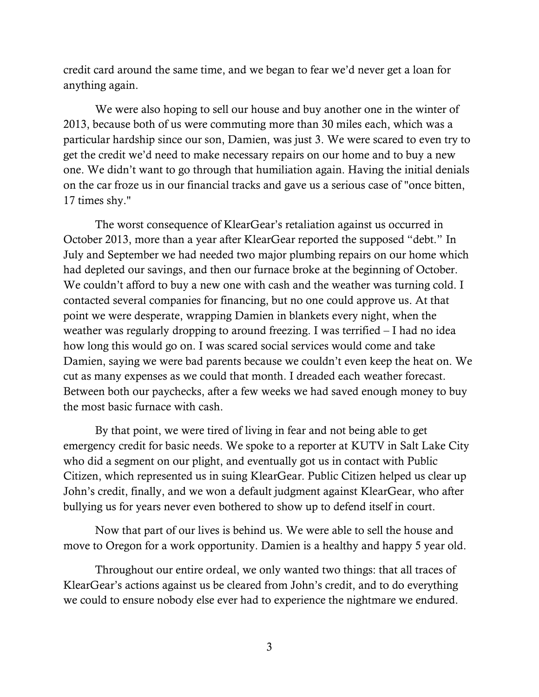credit card around the same time, and we began to fear we'd never get a loan for anything again.

We were also hoping to sell our house and buy another one in the winter of 2013, because both of us were commuting more than 30 miles each, which was a particular hardship since our son, Damien, was just 3. We were scared to even try to get the credit we'd need to make necessary repairs on our home and to buy a new one. We didn't want to go through that humiliation again. Having the initial denials on the car froze us in our financial tracks and gave us a serious case of "once bitten, 17 times shy."

The worst consequence of KlearGear's retaliation against us occurred in October 2013, more than a year after KlearGear reported the supposed "debt." In July and September we had needed two major plumbing repairs on our home which had depleted our savings, and then our furnace broke at the beginning of October. We couldn't afford to buy a new one with cash and the weather was turning cold. I contacted several companies for financing, but no one could approve us. At that point we were desperate, wrapping Damien in blankets every night, when the weather was regularly dropping to around freezing. I was terrified – I had no idea how long this would go on. I was scared social services would come and take Damien, saying we were bad parents because we couldn't even keep the heat on. We cut as many expenses as we could that month. I dreaded each weather forecast. Between both our paychecks, after a few weeks we had saved enough money to buy the most basic furnace with cash.

By that point, we were tired of living in fear and not being able to get emergency credit for basic needs. We spoke to a reporter at KUTV in Salt Lake City who did a segment on our plight, and eventually got us in contact with Public Citizen, which represented us in suing KlearGear. Public Citizen helped us clear up John's credit, finally, and we won a default judgment against KlearGear, who after bullying us for years never even bothered to show up to defend itself in court.

Now that part of our lives is behind us. We were able to sell the house and move to Oregon for a work opportunity. Damien is a healthy and happy 5 year old.

Throughout our entire ordeal, we only wanted two things: that all traces of KlearGear's actions against us be cleared from John's credit, and to do everything we could to ensure nobody else ever had to experience the nightmare we endured.